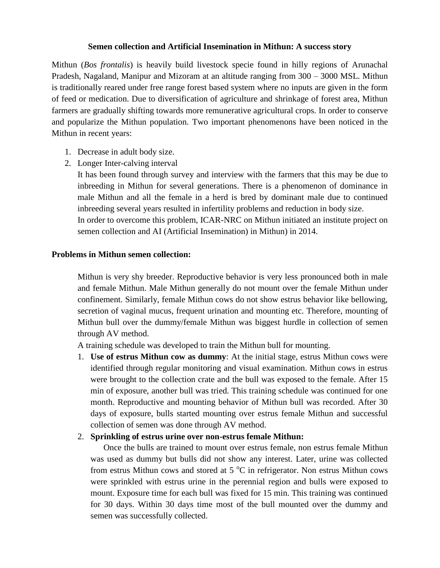## **Semen collection and Artificial Insemination in Mithun: A success story**

Mithun (*Bos frontalis*) is heavily build livestock specie found in hilly regions of Arunachal Pradesh, Nagaland, Manipur and Mizoram at an altitude ranging from 300 – 3000 MSL. Mithun is traditionally reared under free range forest based system where no inputs are given in the form of feed or medication. Due to diversification of agriculture and shrinkage of forest area, Mithun farmers are gradually shifting towards more remunerative agricultural crops. In order to conserve and popularize the Mithun population. Two important phenomenons have been noticed in the Mithun in recent years:

- 1. Decrease in adult body size.
- 2. Longer Inter-calving interval

It has been found through survey and interview with the farmers that this may be due to inbreeding in Mithun for several generations. There is a phenomenon of dominance in male Mithun and all the female in a herd is bred by dominant male due to continued inbreeding several years resulted in infertility problems and reduction in body size. In order to overcome this problem, ICAR-NRC on Mithun initiated an institute project on semen collection and AI (Artificial Insemination) in Mithun) in 2014.

## **Problems in Mithun semen collection:**

Mithun is very shy breeder. Reproductive behavior is very less pronounced both in male and female Mithun. Male Mithun generally do not mount over the female Mithun under confinement. Similarly, female Mithun cows do not show estrus behavior like bellowing, secretion of vaginal mucus, frequent urination and mounting etc. Therefore, mounting of Mithun bull over the dummy/female Mithun was biggest hurdle in collection of semen through AV method.

A training schedule was developed to train the Mithun bull for mounting.

1. **Use of estrus Mithun cow as dummy**: At the initial stage, estrus Mithun cows were identified through regular monitoring and visual examination. Mithun cows in estrus were brought to the collection crate and the bull was exposed to the female. After 15 min of exposure, another bull was tried. This training schedule was continued for one month. Reproductive and mounting behavior of Mithun bull was recorded. After 30 days of exposure, bulls started mounting over estrus female Mithun and successful collection of semen was done through AV method.

## 2. **Sprinkling of estrus urine over non-estrus female Mithun:**

Once the bulls are trained to mount over estrus female, non estrus female Mithun was used as dummy but bulls did not show any interest. Later, urine was collected from estrus Mithun cows and stored at  $5^{\circ}$ C in refrigerator. Non estrus Mithun cows were sprinkled with estrus urine in the perennial region and bulls were exposed to mount. Exposure time for each bull was fixed for 15 min. This training was continued for 30 days. Within 30 days time most of the bull mounted over the dummy and semen was successfully collected.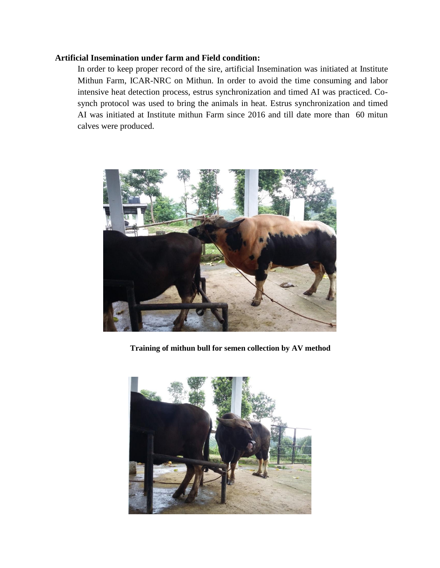## **Artificial Insemination under farm and Field condition:**

In order to keep proper record of the sire, artificial Insemination was initiated at Institute Mithun Farm, ICAR-NRC on Mithun. In order to avoid the time consuming and labor intensive heat detection process, estrus synchronization and timed AI was practiced. Cosynch protocol was used to bring the animals in heat. Estrus synchronization and timed AI was initiated at Institute mithun Farm since 2016 and till date more than 60 mitun calves were produced.



**Training of mithun bull for semen collection by AV method**

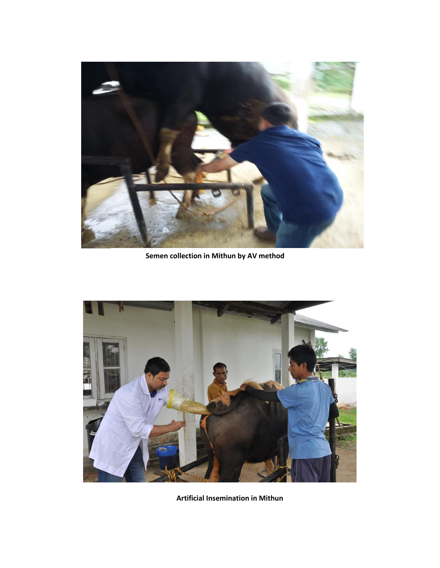

**Semen collection in Mithun by AV method**



**Artificial Insemination in Mithun**